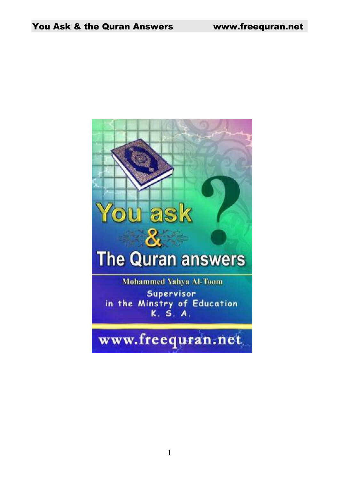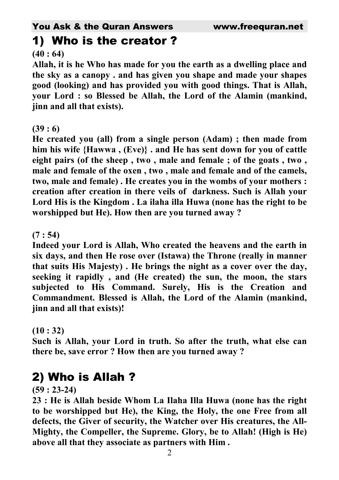#### 1) Who is the creator ?

#### **(40 : 64)**

**Allah, it is he Who has made for you the earth as a dwelling place and the sky as a canopy . and has given you shape and made your shapes good (looking) and has provided you with good things. That is Allah, your Lord : so Blessed be Allah, the Lord of the Alamin (mankind, jinn and all that exists).** 

#### **(39 : 6)**

**He created you (all) from a single person (Adam) ; then made from him his wife {Hawwa , (Eve)} . and He has sent down for you of cattle eight pairs (of the sheep , two , male and female ; of the goats , two , male and female of the oxen , two , male and female and of the camels, two, male and female) . He creates you in the wombs of your mothers : creation after creation in there veils of darkness. Such is Allah your Lord His is the Kingdom . La ilaha illa Huwa (none has the right to be worshipped but He). How then are you turned away ?** 

#### **(7 : 54)**

**Indeed your Lord is Allah, Who created the heavens and the earth in six days, and then He rose over (Istawa) the Throne (really in manner that suits His Majesty) . He brings the night as a cover over the day, seeking it rapidly , and (He created) the sun, the moon, the stars subjected to His Command. Surely, His is the Creation and Commandment. Blessed is Allah, the Lord of the Alamin (mankind, jinn and all that exists)!** 

#### **(10 : 32)**

**Such is Allah, your Lord in truth. So after the truth, what else can there be, save error ? How then are you turned away ?** 

## 2) Who is Allah ?

**(59 : 23-24)** 

**23 : He is Allah beside Whom La Ilaha Illa Huwa (none has the right to be worshipped but He), the King, the Holy, the one Free from all defects, the Giver of security, the Watcher over His creatures, the All-Mighty, the Compeller, the Supreme. Glory, be to Allah! (High is He) above all that they associate as partners with Him .**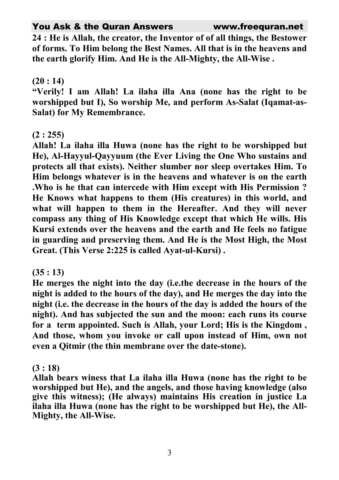**24 : He is Allah, the creator, the Inventor of of all things, the Bestower of forms. To Him belong the Best Names. All that is in the heavens and the earth glorify Him. And He is the All-Mighty, the All-Wise .** 

#### **(20 : 14)**

**"Verily! I am Allah! La ilaha illa Ana (none has the right to be worshipped but I), So worship Me, and perform As-Salat (Iqamat-as-Salat) for My Remembrance.** 

#### **(2 : 255)**

**Allah! La ilaha illa Huwa (none has the right to be worshipped but He), Al-Hayyul-Qayyuum (the Ever Living the One Who sustains and protects all that exists). Neither slumber nor sleep overtakes Him. To Him belongs whatever is in the heavens and whatever is on the earth .Who is he that can intercede with Him except with His Permission ? He Knows what happens to them (His creatures) in this world, and what will happen to them in the Hereafter. And they will never compass any thing of His Knowledge except that which He wills. His Kursi extends over the heavens and the earth and He feels no fatigue in guarding and preserving them. And He is the Most High, the Most Great. (This Verse 2:225 is called Ayat-ul-Kursi) .** 

#### **(35 : 13)**

**He merges the night into the day (i.e.the decrease in the hours of the night is added to the hours of the day), and He merges the day into the night (i.e. the decrease in the hours of the day is added the hours of the night). And has subjected the sun and the moon: each runs its course for a term appointed. Such is Allah, your Lord; His is the Kingdom , And those, whom you invoke or call upon instead of Him, own not even a Qitmir (the thin membrane over the date-stone).** 

#### **(3 : 18)**

**Allah bears winess that La ilaha illa Huwa (none has the right to be worshipped but He), and the angels, and those having knowledge (also give this witness); (He always) maintains His creation in justice La ilaha illa Huwa (none has the right to be worshipped but He), the All-Mighty, the All-Wise.**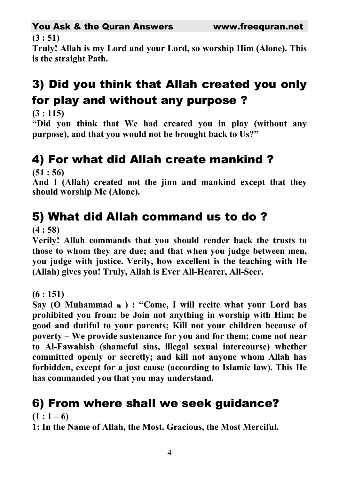#### **(3 : 51)**

**Truly! Allah is my Lord and your Lord, so worship Him (Alone). This is the straight Path.** 

## 3) Did you think that Allah created you only for play and without any purpose ?

**(3 : 115)** 

**"Did you think that We had created you in play (without any purpose), and that you would not be brought back to Us?"** 

## 4) For what did Allah create mankind ?

**(51 : 56)** 

**And I (Allah) created not the jinn and mankind except that they should worship Me (Alone).** 

## 5) What did Allah command us to do ?

**(4 : 58)** 

**Verily! Allah commands that you should render back the trusts to those to whom they are due; and that when you judge between men, you judge with justice. Verily, how excellent is the teaching with He (Allah) gives you! Truly, Allah is Ever All-Hearer, All-Seer.** 

**(6 : 151)** 

**Say (O Muhammad ) : "Come, I will recite what your Lord has prohibited you from: be Join not anything in worship with Him; be good and dutiful to your parents; Kill not your children because of poverty – We provide sustenance for you and for them; come not near to Al-Fawahish (shameful sins, illegal sexual intercourse) whether committed openly or secretly; and kill not anyone whom Allah has forbidden, except for a just cause (according to Islamic law). This He has commanded you that you may understand.** 

#### 6) From where shall we seek guidance?

 $(1:1-6)$ 

**1: In the Name of Allah, the Most. Gracious, the Most Merciful.**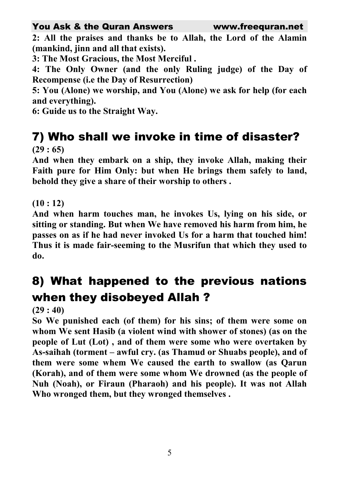**2: All the praises and thanks be to Allah, the Lord of the Alamin (mankind, jinn and all that exists).** 

**3: The Most Gracious, the Most Merciful .** 

**4: The Only Owner (and the only Ruling judge) of the Day of Recompense (i.e the Day of Resurrection)** 

**5: You (Alone) we worship, and You (Alone) we ask for help (for each and everything).** 

**6: Guide us to the Straight Way.** 

#### 7) Who shall we invoke in time of disaster? **(29 : 65)**

**And when they embark on a ship, they invoke Allah, making their Faith pure for Him Only: but when He brings them safely to land, behold they give a share of their worship to others .** 

**(10 : 12)** 

**And when harm touches man, he invokes Us, lying on his side, or sitting or standing. But when We have removed his harm from him, he passes on as if he had never invoked Us for a harm that touched him! Thus it is made fair-seeming to the Musrifun that which they used to do.** 

## 8) What happened to the previous nations when they disobeyed Allah ?

**(29 : 40)** 

**So We punished each (of them) for his sins; of them were some on whom We sent Hasib (a violent wind with shower of stones) (as on the people of Lut (Lot) , and of them were some who were overtaken by As-saihah (torment – awful cry. (as Thamud or Shuabs people), and of them were some whem We caused the earth to swallow (as Qarun (Korah), and of them were some whom We drowned (as the people of Nuh (Noah), or Firaun (Pharaoh) and his people). It was not Allah Who wronged them, but they wronged themselves .**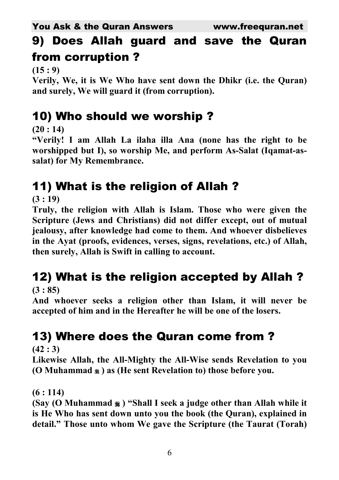## 9) Does Allah guard and save the Quran from corruption ?

**(15 : 9)** 

**Verily, We, it is We Who have sent down the Dhikr (i.e. the Quran) and surely, We will guard it (from corruption).** 

### 10) Who should we worship ?

**(20 : 14)** 

**"Verily! I am Allah La ilaha illa Ana (none has the right to be worshipped but I), so worship Me, and perform As-Salat (Iqamat-assalat) for My Remembrance.** 

## 11) What is the religion of Allah ?

**(3 : 19)** 

**Truly, the religion with Allah is Islam. Those who were given the Scripture (Jews and Christians) did not differ except, out of mutual jealousy, after knowledge had come to them. And whoever disbelieves in the Ayat (proofs, evidences, verses, signs, revelations, etc.) of Allah, then surely, Allah is Swift in calling to account.** 

# 12) What is the religion accepted by Allah ?

**(3 : 85)** 

**And whoever seeks a religion other than Islam, it will never be accepted of him and in the Hereafter he will be one of the losers.** 

## 13) Where does the Quran come from ?

**(42 : 3)** 

**Likewise Allah, the All-Mighty the All-Wise sends Revelation to you (O Muhammad ) as (He sent Revelation to) those before you.** 

**(6 : 114)** 

**(Say (O Muhammad ) "Shall I seek a judge other than Allah while it is He Who has sent down unto you the book (the Quran), explained in detail." Those unto whom We gave the Scripture (the Taurat (Torah)**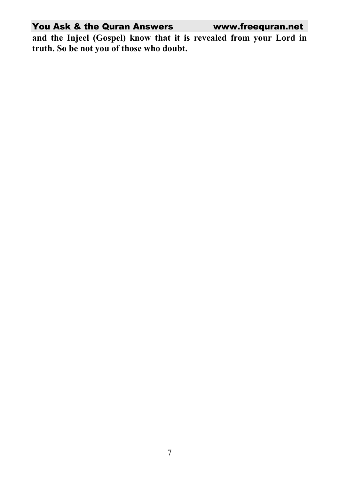**and the Injeel (Gospel) know that it is revealed from your Lord in truth. So be not you of those who doubt.**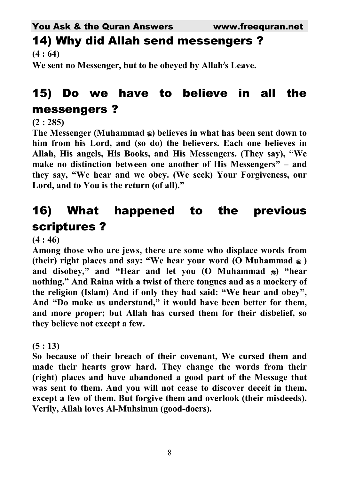#### 14) Why did Allah send messengers ? **(4 : 64)**

**We sent no Messenger, but to be obeyed by Allah s Leave.**

## 15) Do we have to believe in all the messengers ?

#### **(2 : 285)**

**The Messenger (Muhammad ) believes in what has been sent down to him from his Lord, and (so do) the believers. Each one believes in Allah, His angels, His Books, and His Messengers. (They say), "We make no distinction between one another of His Messengers" – and they say, "We hear and we obey. (We seek) Your Forgiveness, our Lord, and to You is the return (of all)."** 

## 16) What happened to the previous scriptures ?

**(4 : 46)** 

**Among those who are jews, there are some who displace words from (their) right places and say: "We hear your word (O Muhammad ) and disobey," and "Hear and let you (O Muhammad ) "hear nothing." And Raina with a twist of there tongues and as a mockery of the religion (Islam) And if only they had said: "We hear and obey", And "Do make us understand," it would have been better for them, and more proper; but Allah has cursed them for their disbelief, so they believe not except a few.** 

#### **(5 : 13)**

**So because of their breach of their covenant, We cursed them and made their hearts grow hard. They change the words from their (right) places and have abandoned a good part of the Message that was sent to them. And you will not cease to discover deceit in them, except a few of them. But forgive them and overlook (their misdeeds). Verily, Allah loves Al-Muhsinun (good-doers).**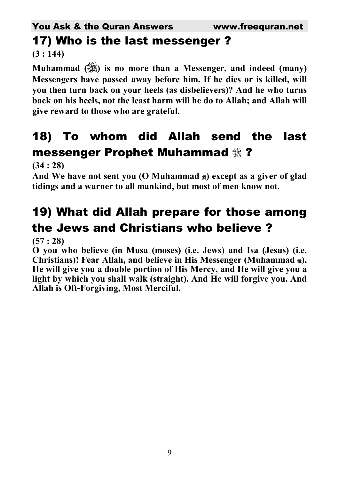# 17) Who is the last messenger ?

**(3 : 144)** 

**Muhammad () is no more than a Messenger, and indeed (many) Messengers have passed away before him. If he dies or is killed, will you then turn back on your heels (as disbelievers)? And he who turns back on his heels, not the least harm will he do to Allah; and Allah will give reward to those who are grateful.** 

#### 18) To whom did Allah send the last messenger Prophet Muhammad ?

**(34 : 28)** 

And We have not sent you (O Muhammad  $\ast$ ) except as a giver of glad **tidings and a warner to all mankind, but most of men know not.** 

## 19) What did Allah prepare for those among the Jews and Christians who believe ?

**(57 : 28)** 

**O you who believe (in Musa (moses) (i.e. Jews) and Isa (Jesus) (i.e. Christians)! Fear Allah, and believe in His Messenger (Muhammad ), He will give you a double portion of His Mercy, and He will give you a light by which you shall walk (straight). And He will forgive you. And Allah is Oft-Forgiving, Most Merciful.**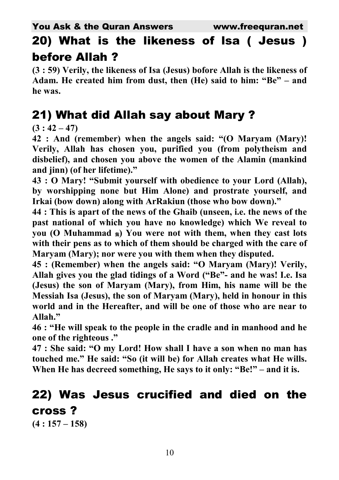### 20) What is the likeness of lsa ( Jesus ) before Allah ?

**(3 : 59) Verily, the likeness of Isa (Jesus) bofore Allah is the likeness of Adam. He created him from dust, then (He) said to him: "Be" – and he was.** 

#### 21) What did Allah say about Mary ?

 $(3:42-47)$ 

**42 : And (remember) when the angels said: "(O Maryam (Mary)! Verily, Allah has chosen you, purified you (from polytheism and disbelief), and chosen you above the women of the Alamin (mankind and jinn) (of her lifetime)."** 

**43 : O Mary! "Submit yourself with obedience to your Lord (Allah), by worshipping none but Him Alone) and prostrate yourself, and Irkai (bow down) along with ArRakiun (those who bow down)."** 

**44 : This is apart of the news of the Ghaib (unseen, i.e. the news of the past national of which you have no knowledge) which We reveal to you (O Muhammad ) You were not with them, when they cast lots with their pens as to which of them should be charged with the care of Maryam (Mary); nor were you with them when they disputed.** 

**45 : (Remember) when the angels said: "O Maryam (Mary)! Verily, Allah gives you the glad tidings of a Word ("Be"- and he was! I.e. Isa (Jesus) the son of Maryam (Mary), from Him, his name will be the Messiah Isa (Jesus), the son of Maryam (Mary), held in honour in this world and in the Hereafter, and will be one of those who are near to Allah."** 

**46 : "He will speak to the people in the cradle and in manhood and he one of the righteous ."** 

**47 : She said: "O my Lord! How shall I have a son when no man has touched me." He said: "So (it will be) for Allah creates what He wills.**  When He has decreed something, He says to it only: "Be!" – and it is.

## 22) Was Jesus crucified and died on the cross ?

**(4 : 157 – 158)**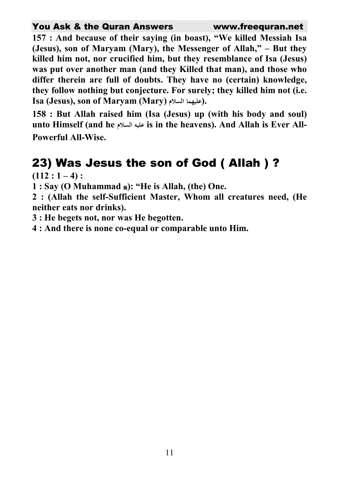**157 : And because of their saying (in boast), "We killed Messiah Isa (Jesus), son of Maryam (Mary), the Messenger of Allah," – But they killed him not, nor crucified him, but they resemblance of Isa (Jesus) was put over another man (and they Killed that man), and those who differ therein are full of doubts. They have no (certain) knowledge, they follow nothing but conjecture. For surely; they killed him not (i.e.**   $\boldsymbol{\Gamma}$ (Jesus), son of Maryam (Mary) عليهما السلام).

**158 : But Allah raised him (Isa (Jesus) up (with his body and soul) unto Himself (and he - is in the heavens). And Allah is Ever All-Powerful All-Wise.** 

#### 23) Was Jesus the son of God ( Allah ) ?

 $(112:1-4):$ 

**1 : Say (O Muhammad ): "He is Allah, (the) One.** 

**2 : (Allah the self-Sufficient Master, Whom all creatures need, (He neither eats nor drinks).** 

**3 : He begets not, nor was He begotten.** 

**4 : And there is none co-equal or comparable unto Him.**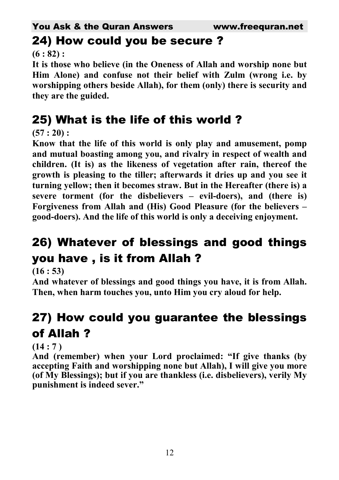#### 24) How could you be secure ?

**(6 : 82) :** 

**It is those who believe (in the Oneness of Allah and worship none but Him Alone) and confuse not their belief with Zulm (wrong i.e. by worshipping others beside Allah), for them (only) there is security and they are the guided.** 

## 25) What is the life of this world ?

**(57 : 20) :** 

**Know that the life of this world is only play and amusement, pomp and mutual boasting among you, and rivalry in respect of wealth and children. (It is) as the likeness of vegetation after rain, thereof the growth is pleasing to the tiller; afterwards it dries up and you see it turning yellow; then it becomes straw. But in the Hereafter (there is) a severe torment (for the disbelievers – evil-doers), and (there is) Forgiveness from Allah and (His) Good Pleasure (for the believers – good-doers). And the life of this world is only a deceiving enjoyment.** 

## 26) Whatever of blessings and good things you have , is it from Allah ?

**(16 : 53)** 

**And whatever of blessings and good things you have, it is from Allah. Then, when harm touches you, unto Him you cry aloud for help.** 

## 27) How could you guarantee the blessings of Allah ?

#### **(14 : 7 )**

**And (remember) when your Lord proclaimed: "If give thanks (by accepting Faith and worshipping none but Allah), I will give you more (of My Blessings); but if you are thankless (i.e. disbelievers), verily My punishment is indeed sever."**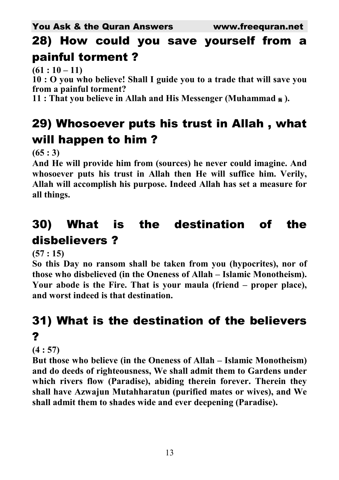## 28) How could you save yourself from a painful torment ?

 $(61:10-11)$ 

**10 : O you who believe! Shall I guide you to a trade that will save you from a painful torment?** 

**11 : That you believe in Allah and His Messenger (Muhammad ).** 

## 29) Whosoever puts his trust in Allah , what will happen to him ?

**(65 : 3)** 

**And He will provide him from (sources) he never could imagine. And whosoever puts his trust in Allah then He will suffice him. Verily, Allah will accomplish his purpose. Indeed Allah has set a measure for all things.** 

## 30) What is the destination of the disbelievers ?

**(57 : 15)** 

**So this Day no ransom shall be taken from you (hypocrites), nor of those who disbelieved (in the Oneness of Allah – Islamic Monotheism). Your abode is the Fire. That is your maula (friend – proper place), and worst indeed is that destination.** 

## 31) What is the destination of the believers ?

**(4 : 57)** 

**But those who believe (in the Oneness of Allah – Islamic Monotheism) and do deeds of righteousness, We shall admit them to Gardens under which rivers flow (Paradise), abiding therein forever. Therein they shall have Azwajun Mutahharatun (purified mates or wives), and We shall admit them to shades wide and ever deepening (Paradise).**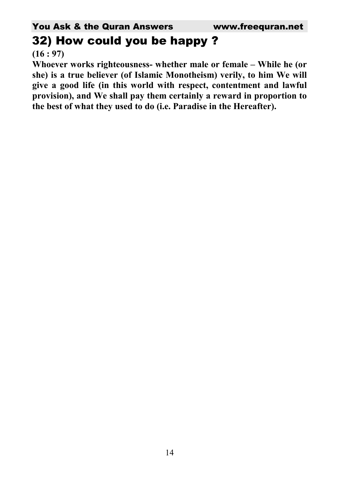#### 32) How could you be happy ?

**(16 : 97)** 

**Whoever works righteousness- whether male or female – While he (or she) is a true believer (of Islamic Monotheism) verily, to him We will give a good life (in this world with respect, contentment and lawful provision), and We shall pay them certainly a reward in proportion to the best of what they used to do (i.e. Paradise in the Hereafter).**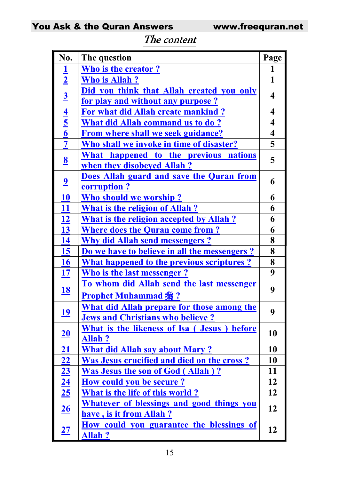| No.                         | The question                                         | Page                    |
|-----------------------------|------------------------------------------------------|-------------------------|
| 1                           | Who is the creator?                                  | 1                       |
| $\mathbf{2}$                | <b>Who is Allah?</b>                                 | 1                       |
| $\overline{\mathbf{3}}$     | Did you think that Allah created you only            | 4                       |
|                             | for play and without any purpose?                    |                         |
| 4                           | For what did Allah create mankind?                   | $\overline{\mathbf{4}}$ |
| $\overline{\mathbf{5}}$     | <b>What did Allah command us to do?</b>              | 4                       |
| 6                           | From where shall we seek guidance?                   | $\overline{\mathbf{4}}$ |
| $\overline{7}$              | Who shall we invoke in time of disaster?             | 5                       |
|                             | What happened to the previous nations                | 5                       |
| $\underline{\underline{8}}$ | when they disobeyed Allah?                           |                         |
| $\overline{\mathbf{2}}$     | Does Allah guard and save the Quran from             | 6                       |
|                             | corruption?                                          |                         |
| 10                          | Who should we worship?                               | 6                       |
| 11                          | <b>What is the religion of Allah?</b>                | 6                       |
| <u>12</u>                   | <b>What is the religion accepted by Allah?</b>       | 6                       |
| 13                          | <b>Where does the Quran come from?</b>               | 6                       |
| 14                          | <b>Why did Allah send messengers?</b>                | 8                       |
| 15                          | Do we have to believe in all the messengers?         | 8                       |
| <b>16</b>                   | <b>What happened to the previous scriptures?</b>     | 8                       |
| <b>17</b>                   | <b>Who is the last messenger?</b>                    | 9                       |
|                             | To whom did Allah send the last messenger            | 9                       |
| <u>18</u>                   | <b>Prophet Muhammad :</b> ?                          |                         |
|                             | <b>What did Allah prepare for those among the</b>    | 9                       |
| <u> 19</u>                  | <b>Jews and Christians who believe?</b>              |                         |
|                             | What is the likeness of Isa (Jesus)<br><b>before</b> | 10                      |
| <u>20</u>                   | <b>Allah?</b>                                        |                         |
| 21                          | <b>What did Allah say about Mary?</b>                | 10                      |
| 22                          | <b>Was Jesus crucified and died on the cross?</b>    | 10                      |
| 23                          | <b>Was Jesus the son of God (Allah)?</b>             | 11                      |
| <u>24</u>                   | <b>How could you be secure?</b>                      | 12                      |
| <u>25</u>                   | What is the life of this world?                      | 12                      |
| <u>26</u>                   | Whatever of blessings and good things you            | 12                      |
|                             | have, is it from Allah?                              |                         |
| <u> 27</u>                  | <u>How could you guarantee the blessings</u> of      | 12                      |
|                             | <b>Allah?</b>                                        |                         |

#### The content